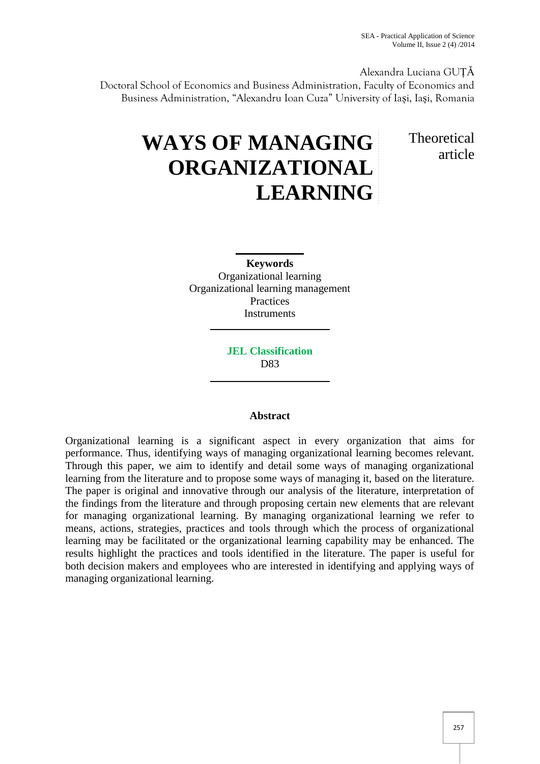Alexandra Luciana GUȚĂ

Doctoral School of Economics and Business Administration, Faculty of Economics and Business Administration, "Alexandru Ioan Cuza" University of Iași, Iași, Romania

# **WAYS OF MANAGING ORGANIZATIONAL LEARNING**

**Theoretical** article

**Keywords** Organizational learning Organizational learning management **Practices Instruments** 

> **JEL Classification** D83

## **Abstract**

Organizational learning is a significant aspect in every organization that aims for performance. Thus, identifying ways of managing organizational learning becomes relevant. Through this paper, we aim to identify and detail some ways of managing organizational learning from the literature and to propose some ways of managing it, based on the literature. The paper is original and innovative through our analysis of the literature, interpretation of the findings from the literature and through proposing certain new elements that are relevant for managing organizational learning. By managing organizational learning we refer to means, actions, strategies, practices and tools through which the process of organizational learning may be facilitated or the organizational learning capability may be enhanced. The results highlight the practices and tools identified in the literature. The paper is useful for both decision makers and employees who are interested in identifying and applying ways of managing organizational learning.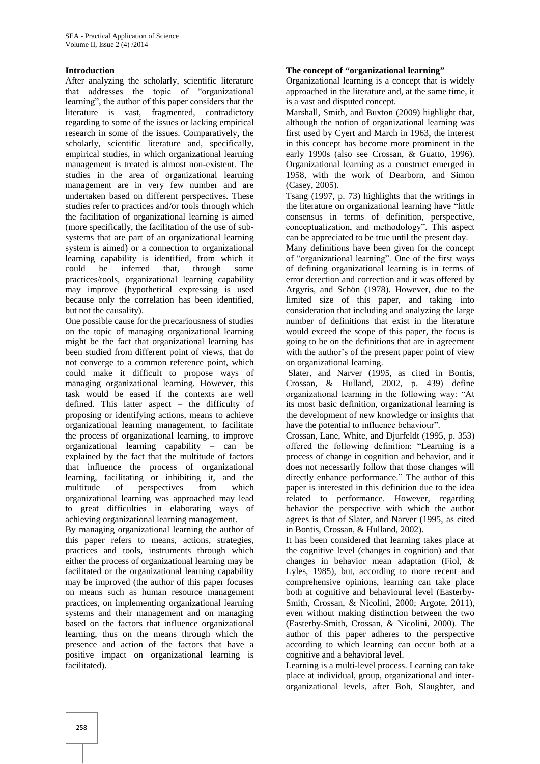### **Introduction**

After analyzing the scholarly, scientific literature that addresses the topic of "organizational learning", the author of this paper considers that the literature is vast, fragmented, contradictory regarding to some of the issues or lacking empirical research in some of the issues. Comparatively, the scholarly, scientific literature and, specifically, empirical studies, in which organizational learning management is treated is almost non-existent. The studies in the area of organizational learning management are in very few number and are undertaken based on different perspectives. These studies refer to practices and/or tools through which the facilitation of organizational learning is aimed (more specifically, the facilitation of the use of sub systems that are part of an organizational learning system is aimed) or a connection to organizational learning capability is identified, from which it could be inferred that, through some practices/tools, organizational learning capability may improve (hypothetical expressing is used because only the correlation has been identified, but not the causality).

One possible cause for the precariousness of studies on the topic of managing organizational learning might be the fact that organizational learning has been studied from different point of views, that do not converge to a common reference point, which could make it difficult to propose ways of managing organizational learning. However, this task would be eased if the contexts are well defined. This latter aspect – the difficulty of proposing or identifying actions, means to achieve organizational learning management, to facilitate the process of organizational learning, to improve organizational learning capability – can be explained by the fact that the multitude of factors that influence the process of organizational learning, facilitating or inhibiting it, and the multitude of perspectives from which organizational learning was approached may lead to great difficulties in elaborating ways of achieving organizational learning management.

By managing organizational learning the author of this paper refers to means, actions, strategies, practices and tools, instruments through which either the process of organizational learning may be facilitated or the organizational learning capability may be improved (the author of this paper focuses on means such as human resource management practices, on implementing organizational learning systems and their management and on managing based on the factors that influence organizational learning, thus on the means through which the presence and action of the factors that have a positive impact on organizational learning is facilitated).

#### **The concept of "organizational learning"**

Organizational learning is a concept that is widely approached in the literature and, at the same time, it is a vast and disputed concept.

Marshall, Smith, and Buxton (2009) highlight that, although the notion of organizational learning was first used by Cyert and March in 1963, the interest in this concept has become more prominent in the early 1990s (also see Crossan, & Guatto, 1996). Organizational learning as a construct emerged in 1958, with the work of Dearborn, and Simon (Casey, 2005).

Tsang (1997, p. 73) highlights that the writings in the literature on organizational learning have "little consensus in terms of definition, perspective, conceptualization, and methodology". This aspect can be appreciated to be true until the present day.

Many definitions have been given for the concept of "organizational learning". One of the first ways of defining organizational learning is in terms of error detection and correction and it was offered by Argyris, and Schön (1978). However, due to the limited size of this paper, and taking into consideration that including and analyzing the large number of definitions that exist in the literature would exceed the scope of this paper, the focus is going to be on the definitions that are in agreement with the author's of the present paper point of view on organizational learning.

Slater, and Narver (1995, as cited in Bontis, Crossan, & Hulland, 2002, p. 439) define organizational learning in the following way: "At its most basic definition, organizational learning is the development of new knowledge or insights that have the potential to influence behaviour".

Crossan, Lane, White, and Djurfeldt (1995, p. 353) offered the following definition: "Learning is a process of change in cognition and behavior, and it does not necessarily follow that those changes will directly enhance performance." The author of this paper is interested in this definition due to the idea related to performance. However, regarding behavior the perspective with which the author agrees is that of Slater, and Narver (1995, as cited in Bontis, Crossan, & Hulland, 2002).

It has been considered that learning takes place at the cognitive level (changes in cognition) and that changes in behavior mean adaptation (Fiol, & Lyles, 1985), but, according to more recent and comprehensive opinions, learning can take place both at cognitive and behavioural level (Easterby- Smith, Crossan, & Nicolini, 2000; Argote, 2011), even without making distinction between the two (Easterby-Smith, Crossan, & Nicolini, 2000). The author of this paper adheres to the perspective according to which learning can occur both at a cognitive and a behavioral level.

Learning is a multi-level process. Learning can take place at individual, group, organizational and inter organizational levels, after Boh, Slaughter, and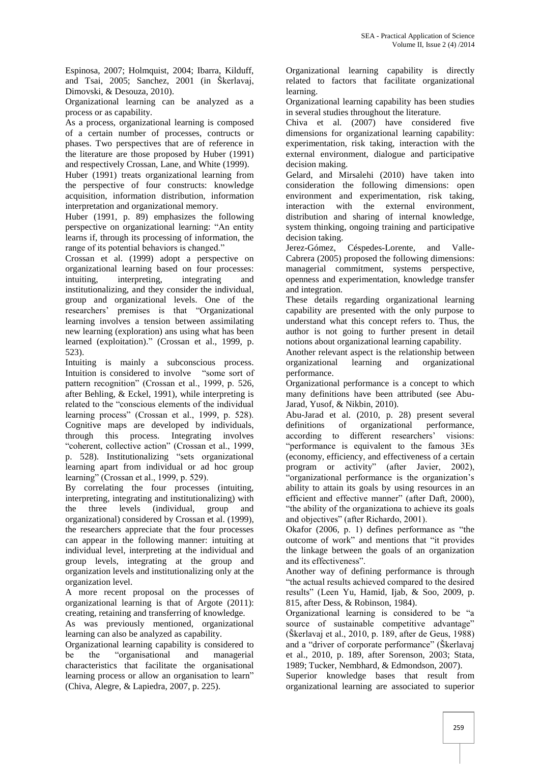Espinosa, 2007; Holmquist, 2004; Ibarra, Kilduff, and Tsai, 2005; Sanchez, 2001 (in Škerlavaj, Dimovski, & Desouza, 2010).

Organizational learning can be analyzed as a process or as capability.

As a process, organizational learning is composed of a certain number of processes, contructs or phases. Two perspectives that are of reference in the literature are those proposed by Huber (1991) and respectively Crossan, Lane, and White (1999).

Huber (1991) treats organizational learning from the perspective of four constructs: knowledge acquisition, information distribution, information interpretation and organizational memory.

Huber (1991, p. 89) emphasizes the following perspective on organizational learning: "An entity learns if, through its processing of information, the range of its potential behaviors is changed."

Crossan et al. (1999) adopt a perspective on organizational learning based on four processes: intuiting, interpreting, integrating and institutionalizing, and they consider the individual, group and organizational levels. One of the researchers' premises is that "Organizational learning involves a tension between assimilating new learning (exploration) ans using what has been learned (exploitation)." (Crossan et al., 1999, p. 523).

Intuiting is mainly a subconscious process. Intuition is considered to involve "some sort of pattern recognition" (Crossan et al., 1999, p. 526, after Behling, & Eckel, 1991), while interpreting is related to the "conscious elements of the individual learning process" (Crossan et al., 1999, p. 528). Cognitive maps are developed by individuals, through this process. Integrating involves "coherent, collective action" (Crossan et al., 1999, p. 528). Institutionalizing "sets organizational learning apart from individual or ad hoc group learning" (Crossan et al., 1999, p. 529).

By correlating the four processes (intuiting, interpreting, integrating and institutionalizing) with the three levels (individual, group and organizational) considered by Crossan et al. (1999), the researchers appreciate that the four processes can appear in the following manner: intuiting at individual level, interpreting at the individual and group levels, integrating at the group and organization levels and institutionalizing only at the organization level.

A more recent proposal on the processes of organizational learning is that of Argote (2011): creating, retaining and transferring of knowledge.

As was previously mentioned, organizational learning can also be analyzed as capability.

Organizational learning capability is considered to be the "organisational and managerial characteristics that facilitate the organisational learning process or allow an organisation to learn" (Chiva, Alegre, & Lapiedra, 2007, p. 225).

Organizational learning capability is directly related to factors that facilitate organizational learning.

Organizational learning capability has been studies in several studies throughout the literature.

Chiva et al. (2007) have considered five dimensions for organizational learning capability: experimentation, risk taking, interaction with the external environment, dialogue and participative decision making.

Gelard, and Mirsalehi (2010) have taken into consideration the following dimensions: open environment and experimentation, risk taking, interaction with the external environment, distribution and sharing of internal knowledge, system thinking, ongoing training and participative decision taking.

Jerez-Gómez, Céspedes-Lorente, and Valle- Cabrera (2005) proposed the following dimensions: managerial commitment, systems perspective, openness and experimentation, knowledge transfer and integration.

These details regarding organizational learning capability are presented with the only purpose to understand what this concept refers to. Thus, the author is not going to further present in detail notions about organizational learning capability.

Another relevant aspect is the relationship between<br>organizational learning and organizational organizational performance.

Organizational performance is a concept to which many definitions have been attributed (see Abu- Jarad, Yusof, & Nikbin, 2010).

Abu-Jarad et al. (2010, p. 28) present several definitions of organizational performance, according to different researchers' visions: "performance is equivalent to the famous 3Es (economy, efficiency, and effectiveness of a certain program or activity" (after Javier, 2002), "organizational performance is the organization's ability to attain its goals by using resources in an efficient and effective manner" (after Daft, 2000), "the ability of the organizationa to achieve its goals and objectives" (after Richardo, 2001).

Okafor (2006, p. 1) defines performance as "the outcome of work" and mentions that "it provides the linkage between the goals of an organization and its effectiveness".

Another way of defining performance is through "the actual results achieved compared to the desired results" (Leen Yu, Hamid, Ijab, & Soo, 2009, p. 815, after Dess, & Robinson, 1984).

Organizational learning is considered to be "a source of sustainable competitive advantage" (Škerlavaj et al., 2010, p. 189, after de Geus, 1988) and a "driver of corporate performance" (Škerlavaj et al., 2010, p. 189, after Sorenson, 2003; Stata, 1989; Tucker, Nembhard, & Edmondson, 2007).

Superior knowledge bases that result from organizational learning are associated to superior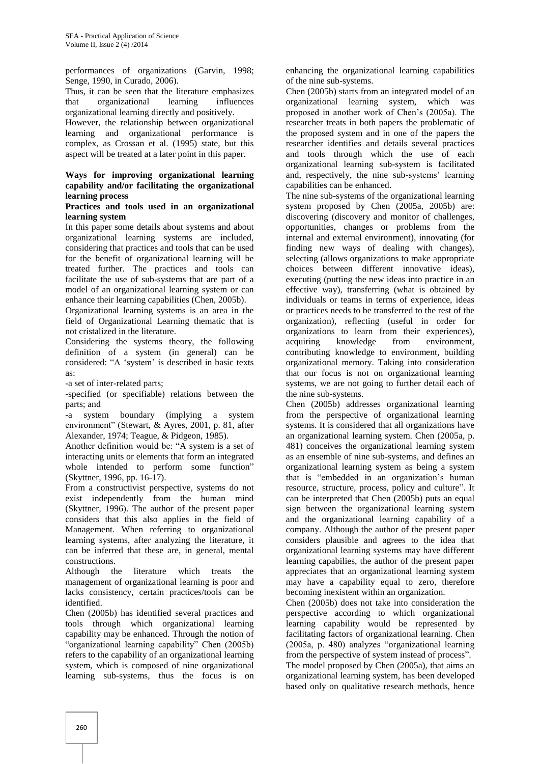performances of organizations (Garvin, 1998; Senge, 1990, in Curado, 2006).

Thus, it can be seen that the literature emphasizes that organizational learning influences organizational learning directly and positively.

However, the relationship between organizational learning and organizational performance is complex, as Crossan et al. (1995) state, but this aspect will be treated at a later point in this paper.

#### **Ways for improving organizational learning capability and/or facilitating the organizational learning process**

#### **Practices and tools used in an organizational learning system**

In this paper some details about systems and about organizational learning systems are included, considering that practices and tools that can be used for the benefit of organizational learning will be treated further. The practices and tools can facilitate the use of sub-systems that are part of a model of an organizational learning system or can enhance their learning capabilities (Chen, 2005b).

Organizational learning systems is an area in the field of Organizational Learning thematic that is not cristalized in the literature.

Considering the systems theory, the following definition of a system (in general) can be considered: "A 'system' is described in basic texts as:

-a set of inter-related parts;

-specified (or specifiable) relations between the parts; and

-a system boundary (implying a system environment" (Stewart, & Ayres, 2001, p. 81, after Alexander, 1974; Teague, & Pidgeon, 1985).

Another definition would be: "A system is a set of interacting units or elements that form an integrated whole intended to perform some function" (Skyttner, 1996, pp. 16-17).

From a constructivist perspective, systems do not exist independently from the human mind (Skyttner, 1996). The author of the present paper considers that this also applies in the field of Management. When referring to organizational learning systems, after analyzing the literature, it can be inferred that these are, in general, mental constructions.

Although the literature which treats the management of organizational learning is poor and lacks consistency, certain practices/tools can be identified.

Chen (2005b) has identified several practices and tools through which organizational learning capability may be enhanced. Through the notion of "organizational learning capability" Chen (2005b) refers to the capability of an organizational learning system, which is composed of nine organizational learning sub-systems, thus the focus is on enhancing the organizational learning capabilities of the nine sub-systems.

Chen (2005b) starts from an integrated model of an organizational learning system, which was proposed in another work of Chen's (2005a). The researcher treats in both papers the problematic of the proposed system and in one of the papers the researcher identifies and details several practices and tools through which the use of each organizational learning sub-system is facilitated and, respectively, the nine sub-systems' learning capabilities can be enhanced.

The nine sub-systems of the organizational learning system proposed by Chen (2005a, 2005b) are: discovering (discovery and monitor of challenges, opportunities, changes or problems from the internal and external environment), innovating (for finding new ways of dealing with changes), selecting (allows organizations to make appropriate choices between different innovative ideas), executing (putting the new ideas into practice in an effective way), transferring (what is obtained by individuals or teams in terms of experience, ideas or practices needs to be transferred to the rest of the organization), reflecting (useful in order for organizations to learn from their experiences), knowledge from environment, contributing knowledge to environment, building organizational memory. Taking into consideration that our focus is not on organizational learning systems, we are not going to further detail each of the nine sub-systems.

Chen (2005b) addresses organizational learning from the perspective of organizational learning systems. It is considered that all organizations have an organizational learning system. Chen (2005a, p. 481) conceives the organizational learning system as an ensemble of nine sub-systems, and defines an organizational learning system as being a system that is "embedded in an organization's human resource, structure, process, policy and culture". It can be interpreted that Chen (2005b) puts an equal sign between the organizational learning system and the organizational learning capability of a company. Although the author of the present paper considers plausible and agrees to the idea that organizational learning systems may have different learning capabilies, the author of the present paper appreciates that an organizational learning system may have a capability equal to zero, therefore becoming inexistent within an organization.

Chen (2005b) does not take into consideration the perspective according to which organizational learning capability would be represented by facilitating factors of organizational learning. Chen (2005a, p. 480) analyzes "organizational learning from the perspective of system instead of process". The model proposed by Chen (2005a), that aims an

organizational learning system, has been developed based only on qualitative research methods, hence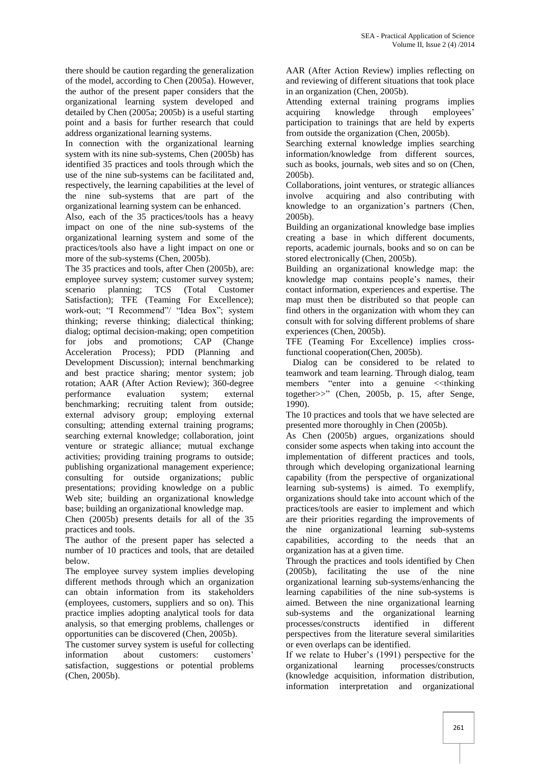there should be caution regarding the generalization of the model, according to Chen (2005a). However, the author of the present paper considers that the organizational learning system developed and detailed by Chen (2005a; 2005b) is a useful starting point and a basis for further research that could address organizational learning systems.

In connection with the organizational learning system with its nine sub-systems, Chen (2005b) has identified 35 practices and tools through which the use of the nine sub-systems can be facilitated and, respectively, the learning capabilities at the level of the nine sub-systems that are part of the organizational learning system can be enhanced.

Also, each of the 35 practices/tools has a heavy impact on one of the nine sub-systems of the organizational learning system and some of the practices/tools also have a light impact on one or more of the sub-systems (Chen, 2005b).

The 35 practices and tools, after Chen (2005b), are: employee survey system; customer survey system; scenario planning; TCS (Total Customer Satisfaction); TFE (Teaming For Excellence); work-out; "I Recommend"/ "Idea Box"; system thinking; reverse thinking; dialectical thinking; dialog; optimal decision-making; open competition for jobs and promotions; CAP (Change Acceleration Process); PDD (Planning and Development Discussion); internal benchmarking and best practice sharing; mentor system; job rotation; AAR (After Action Review); 360-degree performance evaluation system; external benchmarking; recruiting talent from outside; external advisory group; employing external consulting; attending external training programs; searching external knowledge; collaboration, joint venture or strategic alliance; mutual exchange activities; providing training programs to outside; publishing organizational management experience; consulting for outside organizations; public presentations; providing knowledge on a public Web site; building an organizational knowledge base; building an organizational knowledge map.

Chen (2005b) presents details for all of the 35 practices and tools.

The author of the present paper has selected a number of 10 practices and tools, that are detailed below.

The employee survey system implies developing different methods through which an organization can obtain information from its stakeholders (employees, customers, suppliers and so on). This practice implies adopting analytical tools for data analysis, so that emerging problems, challenges or opportunities can be discovered (Chen, 2005b).

The customer survey system is useful for collecting information about customers: customers' satisfaction, suggestions or potential problems (Chen, 2005b).

AAR (After Action Review) implies reflecting on and reviewing of different situations that took place in an organization (Chen, 2005b).

Attending external training programs implies knowledge through employees' participation to trainings that are held by experts from outside the organization (Chen, 2005b).

Searching external knowledge implies searching information/knowledge from different sources, such as books, journals, web sites and so on (Chen, 2005b).

Collaborations, joint ventures, or strategic alliances involve acquiring and also contributing with knowledge to an organization's partners (Chen, 2005b).

Building an organizational knowledge base implies creating a base in which different documents, reports, academic journals, books and so on can be stored electronically (Chen, 2005b).

Building an organizational knowledge map: the knowledge map contains people's names, their contact information, experiences and expertise. The map must then be distributed so that people can find others in the organization with whom they can consult with for solving different problems of share experiences (Chen, 2005b).

TFE (Teaming For Excellence) implies crossfunctional cooperation(Chen, 2005b).

Dialog can be considered to be related to teamwork and team learning. Through dialog, team members "enter into a genuine <<thinking together>>" (Chen, 2005b, p. 15, after Senge, 1990).

The 10 practices and tools that we have selected are presented more thoroughly in Chen (2005b).

As Chen (2005b) argues, organizations should consider some aspects when taking into account the implementation of different practices and tools, through which developing organizational learning capability (from the perspective of organizational learning sub-systems) is aimed. To exemplify, organizations should take into account which of the practices/tools are easier to implement and which are their priorities regarding the improvements of the nine organizational learning sub-systems capabilities, according to the needs that an organization has at a given time.

Through the practices and tools identified by Chen (2005b), facilitating the use of the nine organizational learning sub-systems/enhancing the learning capabilities of the nine sub-systems is aimed. Between the nine organizational learning sub-systems and the organizational learning processes/constructs identified in different perspectives from the literature several similarities or even overlaps can be identified.

If we relate to Huber's (1991) perspective for the organizational learning processes/constructs (knowledge acquisition, information distribution, information interpretation and organizational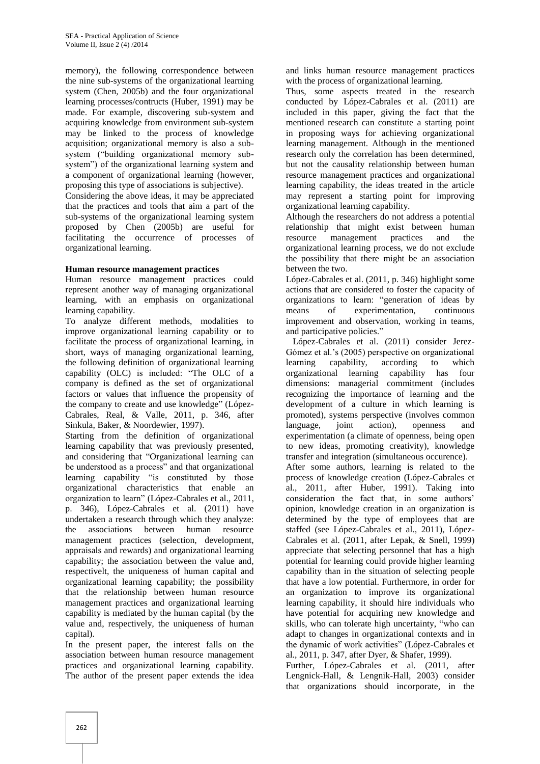memory), the following correspondence between the nine sub-systems of the organizational learning system (Chen, 2005b) and the four organizational learning processes/contructs (Huber, 1991) may be made. For example, discovering sub-system and acquiring knowledge from environment sub-system may be linked to the process of knowledge acquisition; organizational memory is also a sub system ("building organizational memory sub system") of the organizational learning system and a component of organizational learning (however, proposing this type of associations is subjective).

Considering the above ideas, it may be appreciated that the practices and tools that aim a part of the sub-systems of the organizational learning system proposed by Chen (2005b) are useful for facilitating the occurrence of processes of organizational learning.

#### **Human resource management practices**

Human resource management practices could represent another way of managing organizational learning, with an emphasis on organizational learning capability.

To analyze different methods, modalities to improve organizational learning capability or to facilitate the process of organizational learning, in short, ways of managing organizational learning, the following definition of organizational learning learning capability (OLC) is included: "The OLC of a company is defined as the set of organizational factors or values that influence the propensity of the company to create and use knowledge" (López- Cabrales, Real, & Valle, 2011, p. 346, after Sinkula, Baker, & Noordewier, 1997).

Starting from the definition of organizational learning capability that was previously presented, and considering that "Organizational learning can be understood as a process" and that organizational learning capability "is constituted by those organizational characteristics that enable an organization to learn" (López-Cabrales et al., 2011, p. 346), López-Cabrales et al. (2011) have undertaken a research through which they analyze: the associations between human resource management practices (selection, development, appraisals and rewards) and organizational learning capability; the association between the value and, respectivelt, the uniqueness of human capital and organizational learning capability; the possibility that the relationship between human resource management practices and organizational learning capability is mediated by the human capital (by the value and, respectively, the uniqueness of human capital).

In the present paper, the interest falls on the association between human resource management practices and organizational learning capability. The author of the present paper extends the idea and links human resource management practices with the process of organizational learning.

Thus, some aspects treated in the research conducted by López-Cabrales et al. (2011) are included in this paper, giving the fact that the mentioned research can constitute a starting point in proposing ways for achieving organizational learning management. Although in the mentioned research only the correlation has been determined, but not the causality relationship between human resource management practices and organizational learning capability, the ideas treated in the article may represent a starting point for improving organizational learning capability.

Although the researchers do not address a potential relationship that might exist between human resource management practices and the organizational learning process, we do not exclude the possibility that there might be an association between the two.

López-Cabrales et al. (2011, p. 346) highlight some actions that are considered to foster the capacity of organizations to learn: "generation of ideas by means of experimentation, continuous improvement and observation, working in teams, and participative policies."

López-Cabrales et al. (2011) consider Jerez- Gómez et al.'s (2005) perspective on organizational<br>learning capability, according to which capability, according to organizational learning capability has four dimensions: managerial commitment (includes recognizing the importance of learning and the development of a culture in which learning is promoted), systems perspective (involves common language, joint action), openness and experimentation (a climate of openness, being open to new ideas, promoting creativity), knowledge transfer and integration (simultaneous occurence). After some authors, learning is related to the

process of knowledge creation (López-Cabrales et al., 2011, after Huber, 1991). Taking into consideration the fact that, in some authors' opinion, knowledge creation in an organization is determined by the type of employees that are staffed (see López-Cabrales et al., 2011), López- Cabrales et al. (2011, after Lepak, & Snell, 1999) appreciate that selecting personnel that has a high potential for learning could provide higher learning capability than in the situation of selecting people that have a low potential. Furthermore, in order for an organization to improve its organizational learning capability, it should hire individuals who have potential for acquiring new knowledge and skills, who can tolerate high uncertainty, "who can adapt to changes in organizational contexts and in the dynamic of work activities" (López-Cabrales et al., 2011, p. 347, after Dyer, & Shafer, 1999).

Further, López-Cabrales et al. (2011, after Lengnick-Hall, & Lengnik-Hall, 2003) consider that organizations should incorporate, in the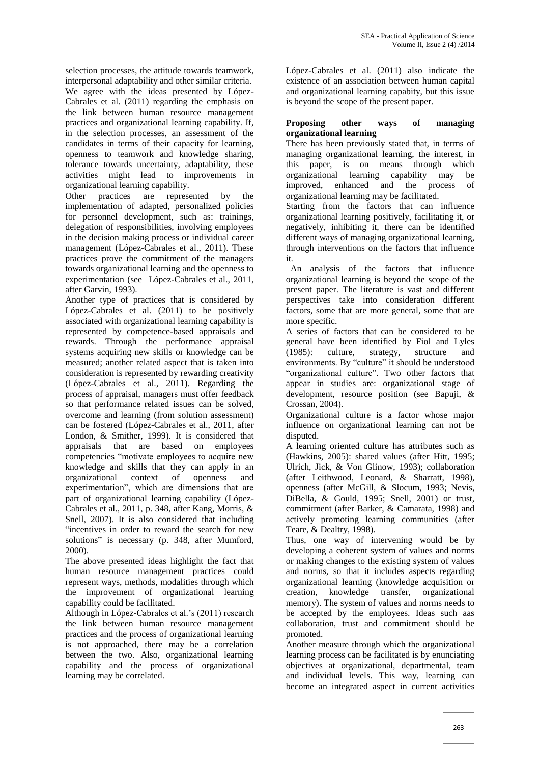selection processes, the attitude towards teamwork, interpersonal adaptability and other similar criteria.

We agree with the ideas presented by López- Cabrales et al. (2011) regarding the emphasis on the link between human resource management practices and organizational learning capability. If, in the selection processes, an assessment of the candidates in terms of their capacity for learning, openness to teamwork and knowledge sharing, tolerance towards uncertainty, adaptability, these activities might lead to improvements in organizational learning capability.

Other practices are represented by the implementation of adapted, personalized policies for personnel development, such as: trainings, delegation of responsibilities, involving employees in the decision making process or individual career management (López-Cabrales et al., 2011). These practices prove the commitment of the managers towards organizational learning and the openness to experimentation (see López-Cabrales et al., 2011, after Garvin, 1993).

Another type of practices that is considered by López-Cabrales et al. (2011) to be positively associated with organizational learning capability is represented by competence-based appraisals and rewards. Through the performance appraisal systems acquiring new skills or knowledge can be measured; another related aspect that is taken into consideration is represented by rewarding creativity (López-Cabrales et al., 2011). Regarding the process of appraisal, managers must offer feedback so that performance related issues can be solved, overcome and learning (from solution assessment) can be fostered (López-Cabrales et al., 2011, after London, & Smither, 1999). It is considered that appraisals that are based on employees competencies "motivate employees to acquire new knowledge and skills that they can apply in an organizational context of openness and experimentation", which are dimensions that are part of organizational learning capability (López- Cabrales et al., 2011, p. 348, after Kang, Morris, & Snell, 2007). It is also considered that including "incentives in order to reward the search for new solutions" is necessary (p. 348, after Mumford, 2000).

The above presented ideas highlight the fact that human resource management practices could represent ways, methods, modalities through which the improvement of organizational learning capability could be facilitated.

Although in López-Cabrales et al.'s (2011) research the link between human resource management practices and the process of organizational learning is not approached, there may be a correlation between the two. Also, organizational learning capability and the process of organizational learning may be correlated.

López-Cabrales et al. (2011) also indicate the existence of an association between human capital and organizational learning capabity, but this issue is beyond the scope of the present paper.

#### **Proposing other ways of managing organizational learning**

There has been previously stated that, in terms of managing organizational learning, the interest, in this paper, is on means through which organizational learning capability may be improved, enhanced and the process of organizational learning may be facilitated.

Starting from the factors that can influence organizational learning positively, facilitating it, or negatively, inhibiting it, there can be identified different ways of managing organizational learning, through interventions on the factors that influence it.

An analysis of the factors that influence organizational learning is beyond the scope of the present paper. The literature is vast and different perspectives take into consideration different factors, some that are more general, some that are more specific.

A series of factors that can be considered to be general have been identified by Fiol and Lyles (1985): culture, strategy, structure and environments. By "culture" it should be understood "organizational culture". Two other factors that appear in studies are: organizational stage of development, resource position (see Bapuji, & Crossan, 2004).

Organizational culture is a factor whose major influence on organizational learning can not be disputed.

A learning oriented culture has attributes such as (Hawkins, 2005): shared values (after Hitt, 1995; Ulrich, Jick, & Von Glinow, 1993); collaboration (after Leithwood, Leonard, & Sharratt, 1998), openness (after McGill, & Slocum, 1993; Nevis, DiBella, & Gould, 1995; Snell, 2001) or trust, commitment (after Barker, & Camarata, 1998) and actively promoting learning communities (after Teare, & Dealtry, 1998).

Thus, one way of intervening would be by developing a coherent system of values and norms or making changes to the existing system of values and norms, so that it includes aspects regarding organizational learning (knowledge acquisition or transfer, organizational memory). The system of values and norms needs to be accepted by the employees. Ideas such aas collaboration, trust and commitment should be promoted.

Another measure through which the organizational learning process can be facilitated is by enunciating objectives at organizational, departmental, team and individual levels. This way, learning can become an integrated aspect in current activities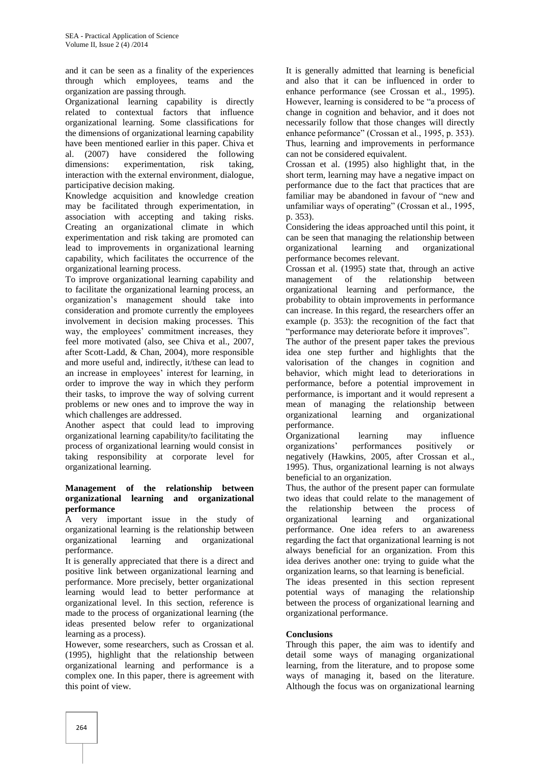and it can be seen as a finality of the experiences through which employees, teams and the organization are passing through.

Organizational learning capability is directly related to contextual factors that influence organizational learning. Some classifications for the dimensions of organizational learning capability have been mentioned earlier in this paper. Chiva et al. (2007) have considered the following dimensions: experimentation, risk taking, interaction with the external environment, dialogue, participative decision making.

Knowledge acquisition and knowledge creation may be facilitated through experimentation, in association with accepting and taking risks. Creating an organizational climate in which experimentation and risk taking are promoted can lead to improvements in organizational learning capability, which facilitates the occurrence of the organizational learning process.

To improve organizational learning capability and to facilitate the organizational learning process, an organization's management should take into consideration and promote currently the employees involvement in decision making processes. This way, the employees' commitment increases, they feel more motivated (also, see Chiva et al., 2007, after Scott-Ladd, & Chan, 2004), more responsible and more useful and, indirectly, it/these can lead to an increase in employees' interest for learning, in order to improve the way in which they perform their tasks, to improve the way of solving current problems or new ones and to improve the way in which challenges are addressed.

Another aspect that could lead to improving organizational learning capability/to facilitating the process of organizational learning would consist in taking responsibility at corporate level for organizational learning.

#### **Management of the relationship between organizational learning and organizational performance**

A very important issue in the study of organizational learning is the relationship between organizational learning and organizational performance.

It is generally appreciated that there is a direct and positive link between organizational learning and performance. More precisely, better organizational learning would lead to better performance at organizational level. In this section, reference is made to the process of organizational learning (the ideas presented below refer to organizational learning as a process).

However, some researchers, such as Crossan et al. (1995), highlight that the relationship between organizational learning and performance is a complex one. In this paper, there is agreement with this point of view.

It is generally admitted that learning is beneficial and also that it can be influenced in order to enhance performance (see Crossan et al., 1995). However, learning is considered to be "a process of change in cognition and behavior, and it does not necessarily follow that those changes will directly enhance peformance" (Crossan et al., 1995, p. 353). Thus, learning and improvements in performance can not be considered equivalent.

Crossan et al. (1995) also highlight that, in the short term, learning may have a negative impact on performance due to the fact that practices that are familiar may be abandoned in favour of "new and unfamiliar ways of operating" (Crossan et al., 1995, p. 353).

Considering the ideas approached until this point, it can be seen that managing the relationship between learning and organizational performance becomes relevant.

Crossan et al. (1995) state that, through an active management of the relationship between organizational learning and performance, the probability to obtain improvements in performance can increase. In this regard, the researchers offer an example (p. 353): the recognition of the fact that "performance may deteriorate before it improves".

The author of the present paper takes the previous idea one step further and highlights that the valorisation of the changes in cognition and behavior, which might lead to deteriorations in performance, before a potential improvement in performance, is important and it would represent a mean of managing the relationship between organizational learning and organizational performance.

Organizational learning may influence performances positively or negatively (Hawkins, 2005, after Crossan et al., 1995). Thus, organizational learning is not always beneficial to an organization.

Thus, the author of the present paper can formulate two ideas that could relate to the management of the relationship between the process of organizational learning and organizational performance. One idea refers to an awareness regarding the fact that organizational learning is not always beneficial for an organization. From this idea derives another one: trying to guide what the organization learns, so that learning is beneficial.

The ideas presented in this section represent potential ways of managing the relationship between the process of organizational learning and organizational performance.

## **Conclusions**

Through this paper, the aim was to identify and detail some ways of managing organizational learning, from the literature, and to propose some ways of managing it, based on the literature. Although the focus was on organizational learning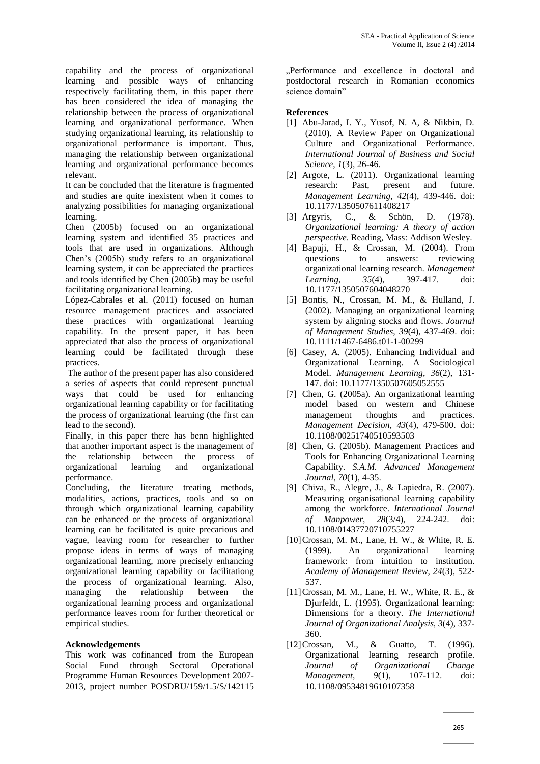capability and the process of organizational learning and possible ways of enhancing respectively facilitating them, in this paper there has been considered the idea of managing the relationship between the process of organizational learning and organizational performance. When studying organizational learning, its relationship to organizational performance is important. Thus, managing the relationship between organizational learning and organizational performance becomes relevant.

It can be concluded that the literature is fragmented and studies are quite inexistent when it comes to analyzing possibilities for managing organizational learning.

Chen (2005b) focused on an organizational learning system and identified 35 practices and tools that are used in organizations. Although Chen's (2005b) study refers to an organizational learning system, it can be appreciated the practices and tools identified by Chen (2005b) may be useful facilitating organizational learning.

López-Cabrales et al. (2011) focused on human resource management practices and associated these practices with organizational learning capability. In the present paper, it has been appreciated that also the process of organizational learning could be facilitated through these practices.

The author of the present paper has also considered a series of aspects that could represent punctual ways that could be used for enhancing organizational learning capability or for facilitating the process of organizational learning (the first can lead to the second).

Finally, in this paper there has benn highlighted that another important aspect is the management of the relationship between the process of organizational learning and organizational performance.

Concluding, the literature treating methods, modalities, actions, practices, tools and so on through which organizational learning capability can be enhanced or the process of organizational learning can be facilitated is quite precarious and vague, leaving room for researcher to further propose ideas in terms of ways of managing organizational learning, more precisely enhancing organizational learning capability or facilitationg the process of organizational learning. Also, managing the relationship between the organizational learning process and organizational performance leaves room for further theoretical or empirical studies.

## **Acknowledgements**

This work was cofinanced from the European Social Fund through Sectoral Operational Programme Human Resources Development 2007- 2013, project number POSDRU/159/1.5/S/142115

"Performance and excellence in doctoral and postdoctoral research in Romanian economics science domain"

## **References**

- [1] Abu-Jarad, I. Y., Yusof, N. A, & Nikbin, D. (2010). A Review Paper on Organizational Culture and Organizational Performance. *International Journal of Business and Social Science*, *1*(3), 26-46.
- [2] Argote, L. (2011). Organizational learning research: Past, present and future. *Management Learning*, *42*(4), 439-446. doi: 10.1177/1350507611408217
- [3] Argyris, C., & Schön, D. (1978). *Organizational learning: A theory of action perspective*. Reading, Mass: Addison Wesley.
- [4] Bapuji, H., & Crossan, M. (2004). From questions to answers: reviewing organizational learning research. *Management Learning*, *35*(4), 397-417. doi: 10.1177/1350507604048270
- [5] Bontis, N., Crossan, M. M., & Hulland, J. (2002). Managing an organizational learning system by aligning stocks and flows. *Journal of Management Studies*, *39*(4), 437-469. doi: 10.1111/1467-6486.t01-1-00299
- [6] Casey, A. (2005). Enhancing Individual and Organizational Learning. A Sociological Model. *Management Learning*, *36*(2), 131- 147. doi: 10.1177/1350507605052555
- [7] Chen, G. (2005a). An organizational learning model based on western and Chinese management thoughts and practices. *Management Decision*, *43*(4), 479-500. doi: 10.1108/00251740510593503
- [8] Chen, G. (2005b). Management Practices and Tools for Enhancing Organizational Learning Capability. *S.A.M. Advanced Management Journal*, *70*(1), 4-35.
- [9] Chiva, R., Alegre, J., & Lapiedra, R. (2007). Measuring organisational learning capability among the workforce. *International Journal of Manpower*, *28*(3/4), 224-242. doi: 10.1108/01437720710755227
- [10]Crossan, M. M., Lane, H. W., & White, R. E. (1999). An organizational learning framework: from intuition to institution. *Academy of Management Review*, *24*(3), 522- 537.
- [11]Crossan, M. M., Lane, H. W., White, R. E., & Djurfeldt, L. (1995). Organizational learning: Dimensions for a theory. *The International Journal of Organizational Analysis*, *3*(4), 337- 360.
- [12]Crossan, M., & Guatto, T. (1996). Organizational learning research profile. *Journal of Organizational Change Management*, *9*(1), 107-112. doi: 10.1108/09534819610107358